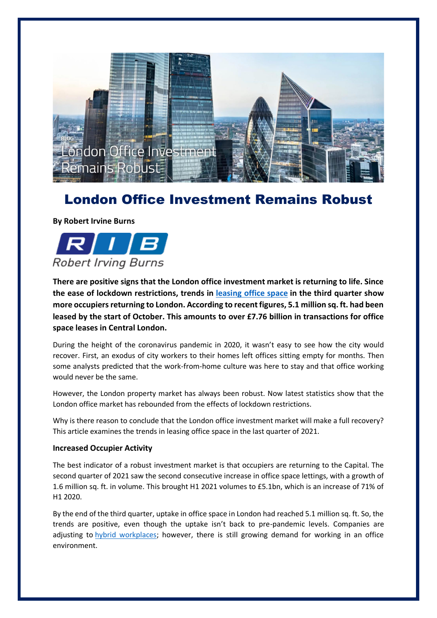

## London Office Investment Remains Robust

**By Robert Irvine Burns**



**There are positive signs that the London office investment market is returning to life. Since the ease of lockdown restrictions, trends in [leasing office space](https://rib.co.uk/commercial/offices-to-rent-in-london/) in the third quarter show more occupiers returning to London. According to recent figures, 5.1 million sq. ft. had been leased by the start of October. This amounts to over £7.76 billion in transactions for office space leases in Central London.**

During the height of the coronavirus pandemic in 2020, it wasn't easy to see how the city would recover. First, an exodus of city workers to their homes left offices sitting empty for months. Then some analysts predicted that the work-from-home culture was here to stay and that office working would never be the same.

However, the London property market has always been robust. Now latest statistics show that the London office market has rebounded from the effects of lockdown restrictions.

Why is there reason to conclude that the London office investment market will make a full recovery? This article examines the trends in leasing office space in the last quarter of 2021.

## **Increased Occupier Activity**

The best indicator of a robust investment market is that occupiers are returning to the Capital. The second quarter of 2021 saw the second consecutive increase in office space lettings, with a growth of 1.6 million sq. ft. in volume. This brought H1 2021 volumes to £5.1bn, which is an increase of 71% of H1 2020.

By the end of the third quarter, uptake in office space in London had reached 5.1 million sq. ft. So, the trends are positive, even though the uptake isn't back to pre-pandemic levels. Companies are adjusting to [hybrid workplaces;](https://rib.co.uk/how-london-office-space-plays-into-the-new-hybrid-working-model/) however, there is still growing demand for working in an office environment.